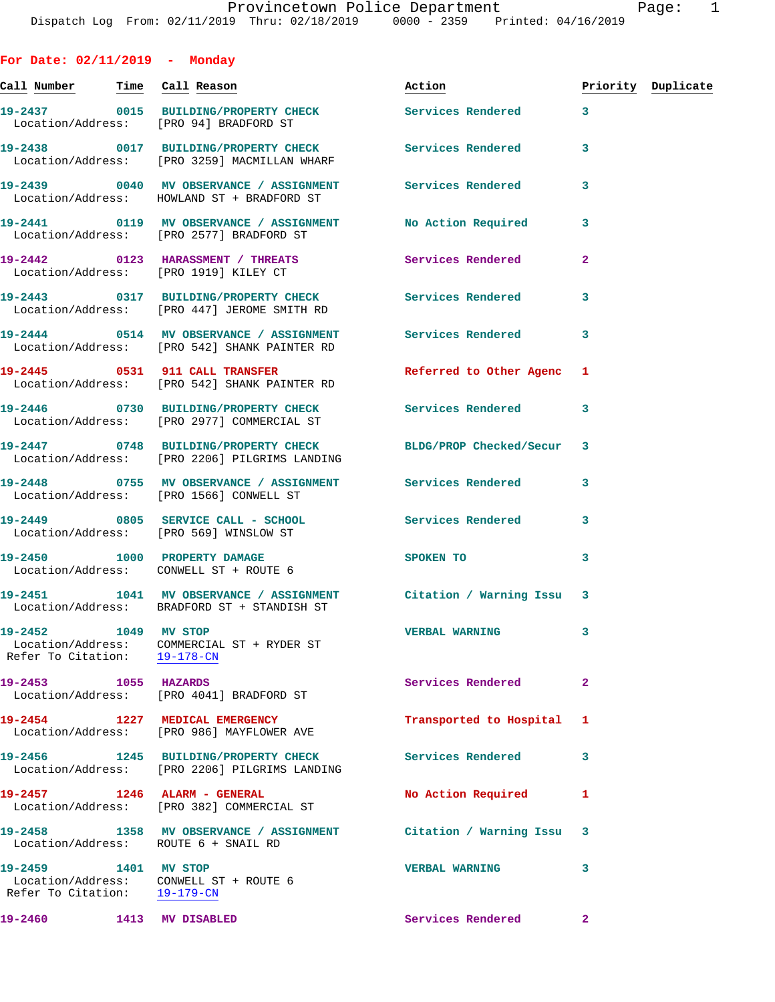**For Date: 02/11/2019 - Monday Call Number Time Call Reason Action Priority Duplicate 19-2437 0015 BUILDING/PROPERTY CHECK Services Rendered 3**  Location/Address: [PRO 94] BRADFORD ST **19-2438 0017 BUILDING/PROPERTY CHECK Services Rendered 3**  Location/Address: [PRO 3259] MACMILLAN WHARF **19-2439 0040 MV OBSERVANCE / ASSIGNMENT Services Rendered 3**  Location/Address: HOWLAND ST + BRADFORD ST **19-2441 0119 MV OBSERVANCE / ASSIGNMENT No Action Required 3**  Location/Address: [PRO 2577] BRADFORD ST **19-2442 0123 HARASSMENT / THREATS Services Rendered 2**  Location/Address: [PRO 1919] KILEY CT **19-2443 0317 BUILDING/PROPERTY CHECK Services Rendered 3**  Location/Address: [PRO 447] JEROME SMITH RD **19-2444 0514 MV OBSERVANCE / ASSIGNMENT Services Rendered 3**  Location/Address: [PRO 542] SHANK PAINTER RD **19-2445 0531 911 CALL TRANSFER Referred to Other Agenc 1**  Location/Address: [PRO 542] SHANK PAINTER RD **19-2446 0730 BUILDING/PROPERTY CHECK Services Rendered 3**  Location/Address: [PRO 2977] COMMERCIAL ST **19-2447 0748 BUILDING/PROPERTY CHECK BLDG/PROP Checked/Secur 3**  Location/Address: [PRO 2206] PILGRIMS LANDING **19-2448 0755 MV OBSERVANCE / ASSIGNMENT Services Rendered 3**  Location/Address: [PRO 1566] CONWELL ST **19-2449 0805 SERVICE CALL - SCHOOL Services Rendered 3**  Location/Address: [PRO 569] WINSLOW ST **19-2450 1000 PROPERTY DAMAGE SPOKEN TO** 3 Location/Address: CONWELL ST + ROUTE 6 **19-2451 1041 MV OBSERVANCE / ASSIGNMENT Citation / Warning Issu 3**  Location/Address: BRADFORD ST + STANDISH ST **19-2452 1049 MV STOP VERBAL WARNING 3**  Location/Address: COMMERCIAL ST + RYDER ST Refer To Citation: 19-178-CN **19-2453 1055 HAZARDS Services Rendered 2**  Location/Address: [PRO 4041] BRADFORD ST **19-2454 1227 MEDICAL EMERGENCY Transported to Hospital 1**  Location/Address: [PRO 986] MAYFLOWER AVE **19-2456 1245 BUILDING/PROPERTY CHECK Services Rendered 3**  Location/Address: [PRO 2206] PILGRIMS LANDING 19-2457 **1246 ALARM - GENERAL 1246 No Action Required** 1 Location/Address: [PRO 382] COMMERCIAL ST **19-2458 1358 MV OBSERVANCE / ASSIGNMENT Citation / Warning Issu 3**  Location/Address: ROUTE 6 + SNAIL RD

**19-2459 1401 MV STOP VERBAL WARNING 3**  Location/Address: CONWELL ST + ROUTE 6 Refer To Citation: 19-179-CN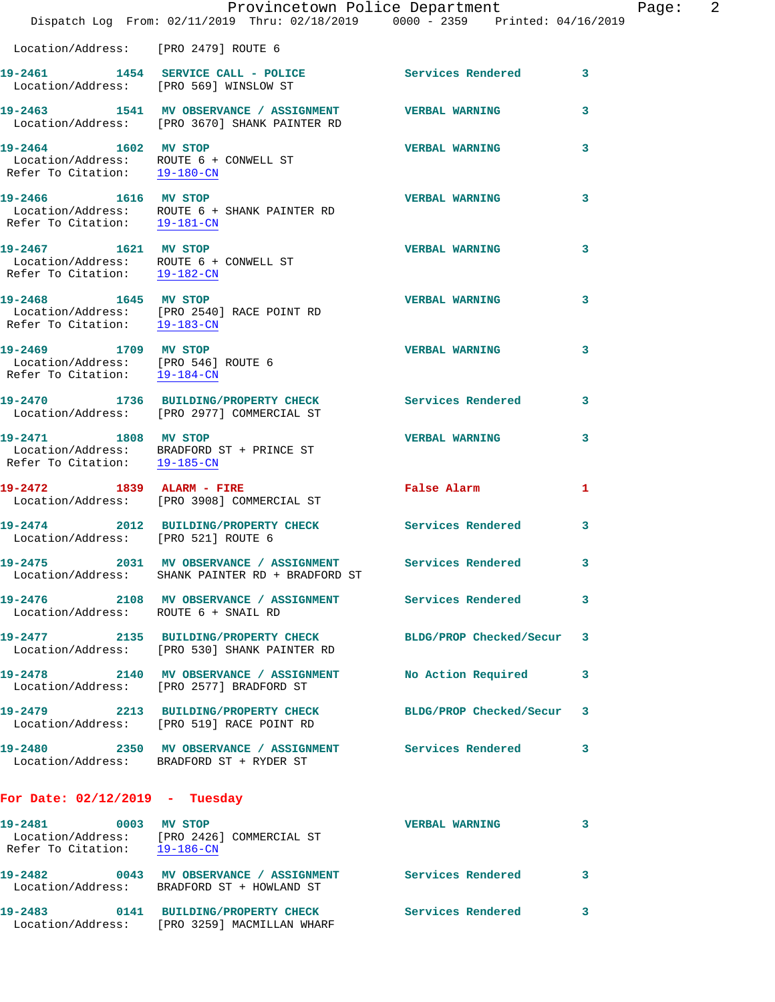|                                                                                                | Provincetown Police Department                                                                               |                          |   |
|------------------------------------------------------------------------------------------------|--------------------------------------------------------------------------------------------------------------|--------------------------|---|
|                                                                                                | Dispatch Log From: 02/11/2019 Thru: 02/18/2019 0000 - 2359 Printed: 04/16/2019                               |                          |   |
| Location/Address: [PRO 2479] ROUTE 6                                                           |                                                                                                              |                          |   |
| 19-2461                                                                                        | 1454 SERVICE CALL - POLICE<br>Location/Address: [PRO 569] WINSLOW ST                                         | <b>Services Rendered</b> | 3 |
|                                                                                                | 19-2463 1541 MV OBSERVANCE / ASSIGNMENT<br>Location/Address: [PRO 3670] SHANK PAINTER RD                     | <b>VERBAL WARNING</b>    | 3 |
| 19-2464 1602 MV STOP<br>Location/Address: ROUTE 6 + CONWELL ST<br>Refer To Citation: 19-180-CN |                                                                                                              | <b>VERBAL WARNING</b>    | 3 |
| 19-2466 1616 MV STOP<br>Refer To Citation: 19-181-CN                                           | Location/Address: ROUTE 6 + SHANK PAINTER RD                                                                 | <b>VERBAL WARNING</b>    | 3 |
| 19-2467 1621 MV STOP<br>Location/Address: ROUTE 6 + CONWELL ST<br>Refer To Citation: 19-182-CN |                                                                                                              | <b>VERBAL WARNING</b>    | 3 |
| 19-2468 1645 MV STOP<br>Refer To Citation: 19-183-CN                                           | Location/Address: [PRO 2540] RACE POINT RD                                                                   | <b>VERBAL WARNING</b>    | 3 |
| 19-2469 1709 MV STOP<br>Location/Address: [PRO 546] ROUTE 6<br>Refer To Citation: 19-184-CN    |                                                                                                              | <b>VERBAL WARNING</b>    | 3 |
|                                                                                                | 19-2470 1736 BUILDING/PROPERTY CHECK<br>Location/Address: [PRO 2977] COMMERCIAL ST                           | <b>Services Rendered</b> | 3 |
| 19-2471 1808 MV STOP                                                                           | Location/Address: BRADFORD ST + PRINCE ST<br>Refer To Citation: 19-185-CN                                    | <b>VERBAL WARNING</b>    | 3 |
|                                                                                                | 19-2472 1839 ALARM - FIRE<br>Location/Address: [PRO 3908] COMMERCIAL ST                                      | False Alarm              | 1 |
| 19-2474<br>Location/Address: [PRO 521] ROUTE 6                                                 | 2012 BUILDING/PROPERTY CHECK                                                                                 | Services Rendered        | 3 |
| 2031<br>19-2475                                                                                | MV OBSERVANCE / ASSIGNMENT<br>Location/Address: SHANK PAINTER RD + BRADFORD ST                               | <b>Services Rendered</b> | 3 |
| 19-2476<br>Location/Address: ROUTE 6 + SNAIL RD                                                | 2108 MV OBSERVANCE / ASSIGNMENT Services Rendered                                                            |                          | 3 |
|                                                                                                | 19-2477 2135 BUILDING/PROPERTY CHECK BLDG/PROP Checked/Secur<br>Location/Address: [PRO 530] SHANK PAINTER RD |                          | 3 |
|                                                                                                | 19-2478 2140 MV OBSERVANCE / ASSIGNMENT<br>Location/Address: [PRO 2577] BRADFORD ST                          | No Action Required       | 3 |
|                                                                                                | 19-2479 2213 BUILDING/PROPERTY CHECK<br>Location/Address: [PRO 519] RACE POINT RD                            | BLDG/PROP Checked/Secur  | 3 |
|                                                                                                | 19-2480 2350 MV OBSERVANCE / ASSIGNMENT Services Rendered<br>Location/Address: BRADFORD ST + RYDER ST        |                          | 3 |
| For Date: $02/12/2019$ - Tuesday                                                               |                                                                                                              |                          |   |
| 19-2481 0003 MV STOP                                                                           | Location/Address: [PRO 2426] COMMERCIAL ST<br>Refer To Citation: 19-186-CN                                   | <b>VERBAL WARNING</b>    | 3 |
|                                                                                                | 19-2482  0043 MV OBSERVANCE / ASSIGNMENT Services Rendered<br>Location/Address: BRADFORD ST + HOWLAND ST     |                          | 3 |
|                                                                                                |                                                                                                              |                          |   |

**19-2483 0141 BUILDING/PROPERTY CHECK Services Rendered 3**  Location/Address: [PRO 3259] MACMILLAN WHARF

Page: 2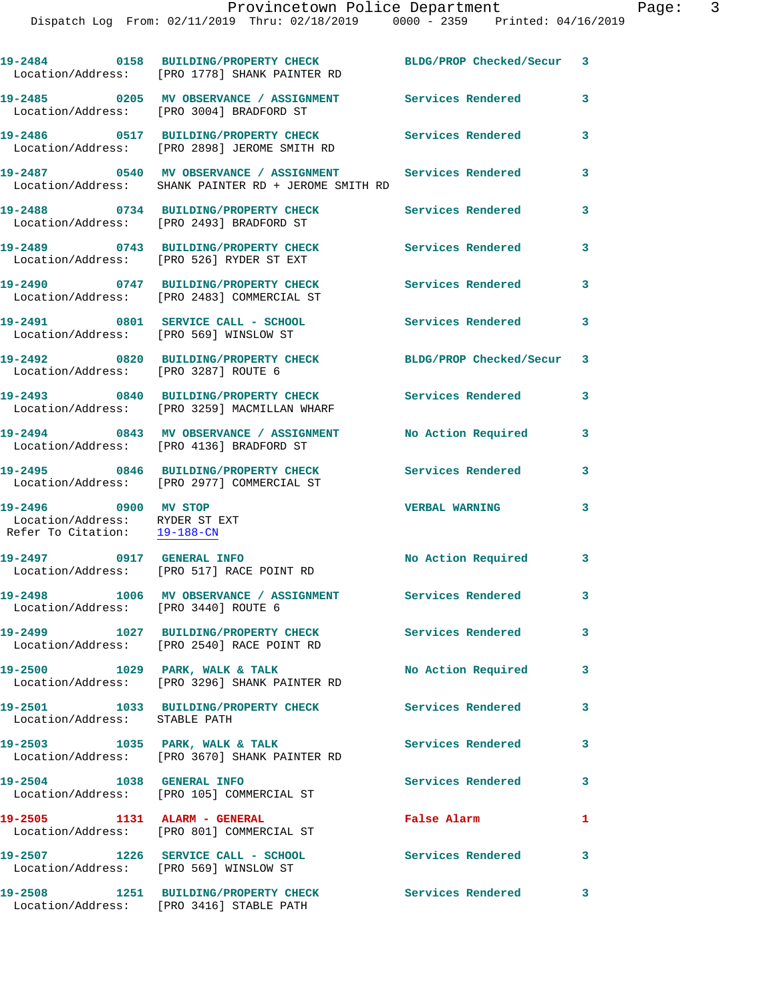|                                                                                        | 19-2484 0158 BUILDING/PROPERTY CHECK BLDG/PROP Checked/Secur 3<br>Location/Address: [PRO 1778] SHANK PAINTER RD      |                           |              |
|----------------------------------------------------------------------------------------|----------------------------------------------------------------------------------------------------------------------|---------------------------|--------------|
|                                                                                        | 19-2485 6205 MV OBSERVANCE / ASSIGNMENT Services Rendered<br>Location/Address: [PRO 3004] BRADFORD ST                |                           | 3            |
|                                                                                        | 19-2486 0517 BUILDING/PROPERTY CHECK Services Rendered<br>Location/Address: [PRO 2898] JEROME SMITH RD               |                           | 3            |
|                                                                                        | 19-2487 		 0540 MV OBSERVANCE / ASSIGNMENT Services Rendered<br>Location/Address: SHANK PAINTER RD + JEROME SMITH RD |                           | 3            |
|                                                                                        | 19-2488 0734 BUILDING/PROPERTY CHECK<br>Location/Address: [PRO 2493] BRADFORD ST                                     | Services Rendered         | 3            |
|                                                                                        |                                                                                                                      | Services Rendered         | 3            |
|                                                                                        | 19-2490 0747 BUILDING/PROPERTY CHECK<br>Location/Address: [PRO 2483] COMMERCIAL ST                                   | <b>Services Rendered</b>  | 3            |
| Location/Address: [PRO 569] WINSLOW ST                                                 | 19-2491 0801 SERVICE CALL - SCHOOL                                                                                   | <b>Services Rendered</b>  | 3            |
| Location/Address: [PRO 3287] ROUTE 6                                                   | 19-2492 0820 BUILDING/PROPERTY CHECK                                                                                 | BLDG/PROP Checked/Secur 3 |              |
|                                                                                        | 19-2493 0840 BUILDING/PROPERTY CHECK<br>Location/Address: [PRO 3259] MACMILLAN WHARF                                 | <b>Services Rendered</b>  | 3            |
|                                                                                        | 19-2494 0843 MV OBSERVANCE / ASSIGNMENT<br>Location/Address: [PRO 4136] BRADFORD ST                                  | No Action Required        | 3            |
|                                                                                        | 19-2495 0846 BUILDING/PROPERTY CHECK<br>Location/Address: [PRO 2977] COMMERCIAL ST                                   | Services Rendered         | 3            |
| 19-2496 0900 MV STOP<br>Location/Address: RYDER ST EXT<br>Refer To Citation: 19-188-CN |                                                                                                                      | <b>VERBAL WARNING</b>     | 3            |
| 19-2497 0917 GENERAL INFO                                                              | Location/Address: [PRO 517] RACE POINT RD                                                                            | No Action Required        | $\mathbf{3}$ |
| Location/Address: [PRO 3440] ROUTE 6                                                   | 19-2498 1006 MV OBSERVANCE / ASSIGNMENT Services Rendered                                                            |                           | 3            |
|                                                                                        | 19-2499 1027 BUILDING/PROPERTY CHECK<br>Location/Address: [PRO 2540] RACE POINT RD                                   | Services Rendered         | $\mathbf{3}$ |
|                                                                                        | 19-2500 1029 PARK, WALK & TALK<br>Location/Address: [PRO 3296] SHANK PAINTER RD                                      | No Action Required        | 3            |
| Location/Address: STABLE PATH                                                          | 19-2501 1033 BUILDING/PROPERTY CHECK                                                                                 | Services Rendered         | 3            |
|                                                                                        | 19-2503 1035 PARK, WALK & TALK<br>Location/Address: [PRO 3670] SHANK PAINTER RD                                      | Services Rendered         | 3            |
| 19-2504 1038 GENERAL INFO                                                              | Location/Address: [PRO 105] COMMERCIAL ST                                                                            | Services Rendered         | $\mathbf{3}$ |
| 19-2505 1131 ALARM - GENERAL                                                           | Location/Address: [PRO 801] COMMERCIAL ST                                                                            | False Alarm               | 1            |
| Location/Address: [PRO 569] WINSLOW ST                                                 | 19-2507 1226 SERVICE CALL - SCHOOL                                                                                   | Services Rendered         | 3            |
| 19-2508                                                                                | 1251 BUILDING/PROPERTY CHECK                                                                                         | Services Rendered         | 3            |

Location/Address: [PRO 3416] STABLE PATH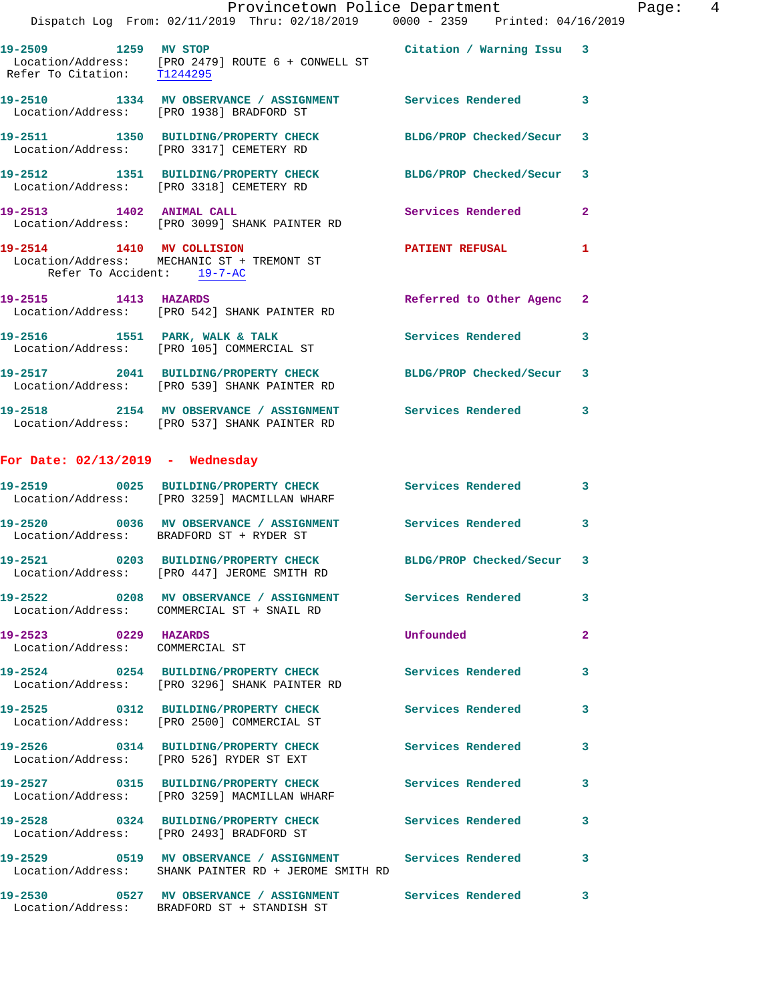|                                                         | Dispatch Log From: 02/11/2019 Thru: 02/18/2019 0000 - 2359 Printed: 04/16/2019                                                                                                              | Provincetown Police Department |              | Page: 4 |  |
|---------------------------------------------------------|---------------------------------------------------------------------------------------------------------------------------------------------------------------------------------------------|--------------------------------|--------------|---------|--|
|                                                         | 19-2509 1259 MV STOP 1259 2007 1259 2012 1259 2012 1259 1259 1259 1259 1259 1269 127<br>Location/Address: [PRO 2479] ROUTE 6 + CONWELL ST<br>Refer To Citation: $\frac{T1244295}{T1244295}$ |                                |              |         |  |
|                                                         | 19-2510 1334 MV OBSERVANCE / ASSIGNMENT Services Rendered 3<br>Location/Address: [PRO 1938] BRADFORD ST                                                                                     |                                |              |         |  |
|                                                         | 19-2511 1350 BUILDING/PROPERTY CHECK BLDG/PROP Checked/Secur $\,$ 3 Location/Address: [PRO 3317] CEMETERY RD                                                                                |                                |              |         |  |
|                                                         | 19-2512 1351 BUILDING/PROPERTY CHECK BLDG/PROP Checked/Secur 3<br>Location/Address: [PRO 3318] CEMETERY RD                                                                                  |                                |              |         |  |
|                                                         | 19-2513 1402 ANIMAL CALL<br>Location/Address: [PRO 3099] SHANK PAINTER RD                                                                                                                   | Services Rendered 2            |              |         |  |
| Refer To Accident: 19-7-AC                              | 19-2514 1410 MV COLLISION DATIENT REFUSAL<br>Location/Address: MECHANIC ST + TREMONT ST                                                                                                     |                                | -1           |         |  |
| 19-2515 1413 HAZARDS                                    | Location/Address: [PRO 542] SHANK PAINTER RD                                                                                                                                                | Referred to Other Agenc 2      |              |         |  |
|                                                         | 19-2516 1551 PARK, WALK & TALK (Services Rendered 3)<br>Location/Address: [PRO 105] COMMERCIAL ST                                                                                           |                                |              |         |  |
|                                                         | 19-2517 2041 BUILDING/PROPERTY CHECK<br>Location/Address: [PRO 539] SHANK PAINTER RD                                                                                                        | BLDG/PROP Checked/Secur 3      |              |         |  |
|                                                         | 19-2518 2154 MV OBSERVANCE / ASSIGNMENT Services Rendered 3<br>Location/Address: [PRO 537] SHANK PAINTER RD                                                                                 |                                |              |         |  |
| For Date: $02/13/2019$ - Wednesday                      |                                                                                                                                                                                             |                                |              |         |  |
|                                                         | 19-2519 0025 BUILDING/PROPERTY CHECK Services Rendered 3<br>Location/Address: [PRO 3259] MACMILLAN WHARF                                                                                    |                                |              |         |  |
|                                                         | 19-2520 0036 MV OBSERVANCE / ASSIGNMENT Services Rendered<br>Location/Address: BRADFORD ST + RYDER ST                                                                                       |                                | 3            |         |  |
|                                                         | 19-2521 0203 BUILDING/PROPERTY CHECK BLDG/PROP Checked/Secur 3<br>Location/Address: [PRO 447] JEROME SMITH RD                                                                               |                                |              |         |  |
|                                                         | 19-2522 0208 MV OBSERVANCE / ASSIGNMENT Services Rendered<br>Location/Address: COMMERCIAL ST + SNAIL RD                                                                                     |                                | 3            |         |  |
| 19-2523 0229 HAZARDS<br>Location/Address: COMMERCIAL ST |                                                                                                                                                                                             | Unfounded                      | $\mathbf{2}$ |         |  |
|                                                         | 19-2524 0254 BUILDING/PROPERTY CHECK Services Rendered<br>Location/Address: [PRO 3296] SHANK PAINTER RD                                                                                     |                                | 3            |         |  |
|                                                         | 19-2525 0312 BUILDING/PROPERTY CHECK Services Rendered<br>Location/Address: [PRO 2500] COMMERCIAL ST                                                                                        |                                | 3            |         |  |
|                                                         | 19-2526 0314 BUILDING/PROPERTY CHECK Services Rendered<br>Location/Address: [PRO 526] RYDER ST EXT                                                                                          |                                | 3            |         |  |
|                                                         | 19-2527 0315 BUILDING/PROPERTY CHECK Services Rendered<br>Location/Address: [PRO 3259] MACMILLAN WHARF                                                                                      |                                | 3            |         |  |
|                                                         | 19-2528 0324 BUILDING/PROPERTY CHECK Services Rendered<br>Location/Address: [PRO 2493] BRADFORD ST                                                                                          |                                | 3            |         |  |
|                                                         | 19-2529 0519 MV OBSERVANCE / ASSIGNMENT Services Rendered<br>Location/Address: SHANK PAINTER RD + JEROME SMITH RD                                                                           |                                | 3            |         |  |
|                                                         | 19-2530 0527 MV OBSERVANCE / ASSIGNMENT Services Rendered 3                                                                                                                                 |                                |              |         |  |

Location/Address: BRADFORD ST + STANDISH ST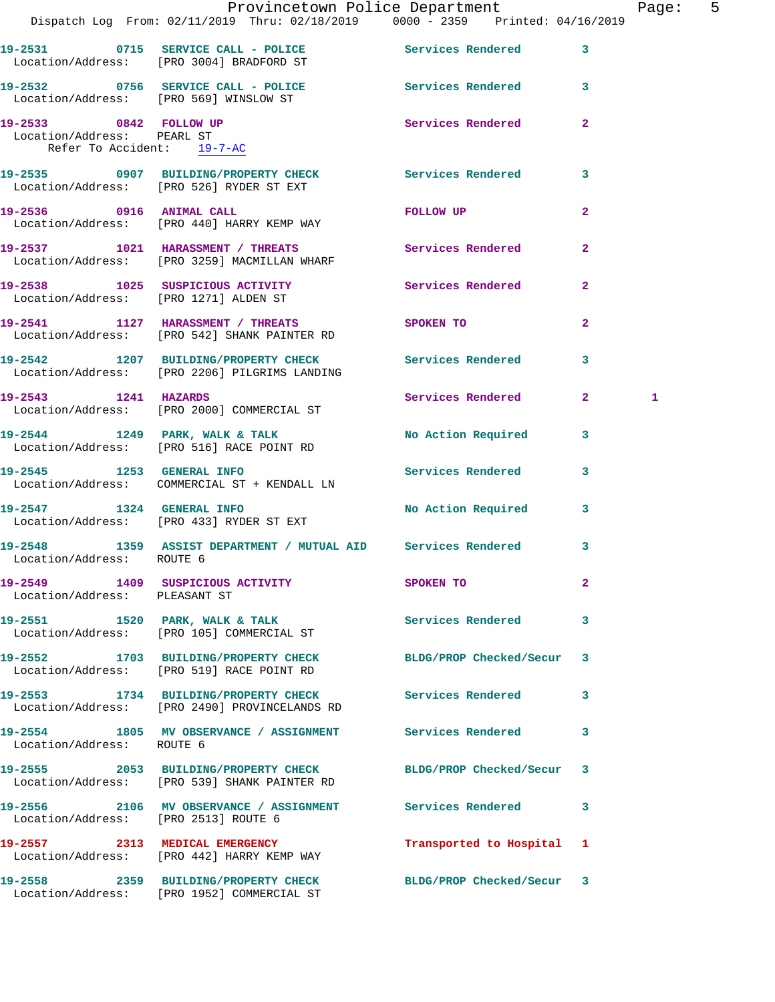|                                                                                    | Provincetown Police Department<br>Dispatch Log From: 02/11/2019 Thru: 02/18/2019                0000 - 2359   Printed: 04/16/2019 |                                                                                                                                                                                                                                |              | Page: 5 |  |
|------------------------------------------------------------------------------------|-----------------------------------------------------------------------------------------------------------------------------------|--------------------------------------------------------------------------------------------------------------------------------------------------------------------------------------------------------------------------------|--------------|---------|--|
|                                                                                    | 19-2531 0715 SERVICE CALL - POLICE 3 Services Rendered 3<br>Location/Address: [PRO 3004] BRADFORD ST                              |                                                                                                                                                                                                                                |              |         |  |
|                                                                                    | 19-2532 0756 SERVICE CALL - POLICE<br>Location/Address: [PRO 569] WINSLOW ST                                                      | Services Rendered 3                                                                                                                                                                                                            |              |         |  |
| 19-2533 0842 FOLLOW UP<br>Location/Address: PEARL ST<br>Refer To Accident: 19-7-AC |                                                                                                                                   | Services Rendered                                                                                                                                                                                                              | $\mathbf{2}$ |         |  |
|                                                                                    | 19-2535 0907 BUILDING/PROPERTY CHECK Services Rendered 3<br>Location/Address: [PRO 526] RYDER ST EXT                              |                                                                                                                                                                                                                                |              |         |  |
|                                                                                    | 19-2536 0916 ANIMAL CALL<br>Location/Address: [PRO 440] HARRY KEMP WAY                                                            | FOLLOW UP THE TRANSPORTED TO A STRUCK THE TRANSPORTED TO A THE TRANSPORTED TO A THE TRANSPORTED TO A THE TRANSPORTED THAT A THE TRANSPORTED THAT A THE TRANSPORTED THAT A THE TRANSPORTED THAT A THE TRANSPORTED THAT A THE TR | $\mathbf{2}$ |         |  |
|                                                                                    | 19-2537 1021 HARASSMENT / THREATS Services Rendered 2<br>Location/Address: [PRO 3259] MACMILLAN WHARF                             |                                                                                                                                                                                                                                |              |         |  |
|                                                                                    | 19-2538 1025 SUSPICIOUS ACTIVITY Services Rendered 2<br>Location/Address: [PRO 1271] ALDEN ST                                     |                                                                                                                                                                                                                                |              |         |  |
|                                                                                    | 19-2541 1127 HARASSMENT / THREATS SPOKEN TO<br>Location/Address: [PRO 542] SHANK PAINTER RD                                       |                                                                                                                                                                                                                                | $\mathbf{2}$ |         |  |
|                                                                                    | 19-2542 1207 BUILDING/PROPERTY CHECK Services Rendered 3<br>Location/Address: [PRO 2206] PILGRIMS LANDING                         |                                                                                                                                                                                                                                |              |         |  |
| 19-2543 1241 HAZARDS                                                               | Location/Address: [PRO 2000] COMMERCIAL ST                                                                                        | Services Rendered 2                                                                                                                                                                                                            |              | 1       |  |
|                                                                                    | 19-2544 1249 PARK, WALK & TALK<br>Location/Address: [PRO 516] RACE POINT RD                                                       | No Action Required 3                                                                                                                                                                                                           |              |         |  |
|                                                                                    | 19-2545 1253 GENERAL INFO<br>Location/Address: COMMERCIAL ST + KENDALL LN                                                         | Services Rendered                                                                                                                                                                                                              | 3            |         |  |
|                                                                                    | 19-2547 1324 GENERAL INFO<br>Location/Address: [PRO 433] RYDER ST EXT                                                             | No Action Required 3                                                                                                                                                                                                           |              |         |  |
| Location/Address: ROUTE 6                                                          | 19-2548 1359 ASSIST DEPARTMENT / MUTUAL AID Services Rendered                                                                     |                                                                                                                                                                                                                                | $\mathbf{3}$ |         |  |
| Location/Address: PLEASANT ST                                                      | 19-2549 1409 SUSPICIOUS ACTIVITY                                                                                                  | SPOKEN TO                                                                                                                                                                                                                      | $\mathbf{2}$ |         |  |
|                                                                                    | 19-2551 1520 PARK, WALK & TALK<br>Location/Address: [PRO 105] COMMERCIAL ST                                                       | Services Rendered 3                                                                                                                                                                                                            |              |         |  |
|                                                                                    | 19-2552 1703 BUILDING/PROPERTY CHECK BLDG/PROP Checked/Secur 3<br>Location/Address: [PRO 519] RACE POINT RD                       |                                                                                                                                                                                                                                |              |         |  |
|                                                                                    | 19-2553 1734 BUILDING/PROPERTY CHECK Services Rendered 3<br>Location/Address: [PRO 2490] PROVINCELANDS RD                         |                                                                                                                                                                                                                                |              |         |  |
| Location/Address: ROUTE 6                                                          |                                                                                                                                   |                                                                                                                                                                                                                                | 3            |         |  |
|                                                                                    | 19-2555 2053 BUILDING/PROPERTY CHECK BLDG/PROP Checked/Secur 3<br>Location/Address: [PRO 539] SHANK PAINTER RD                    |                                                                                                                                                                                                                                |              |         |  |
| Location/Address: [PRO 2513] ROUTE 6                                               | 19-2556 2106 MV OBSERVANCE / ASSIGNMENT Services Rendered 3                                                                       |                                                                                                                                                                                                                                |              |         |  |
|                                                                                    | 19-2557 2313 MEDICAL EMERGENCY<br>Location/Address: [PRO 442] HARRY KEMP WAY                                                      | Transported to Hospital 1                                                                                                                                                                                                      |              |         |  |
|                                                                                    | 19-2558 2359 BUILDING/PROPERTY CHECK BLDG/PROP Checked/Secur 3<br>Location/Address: [PRO 1952] COMMERCIAL ST                      |                                                                                                                                                                                                                                |              |         |  |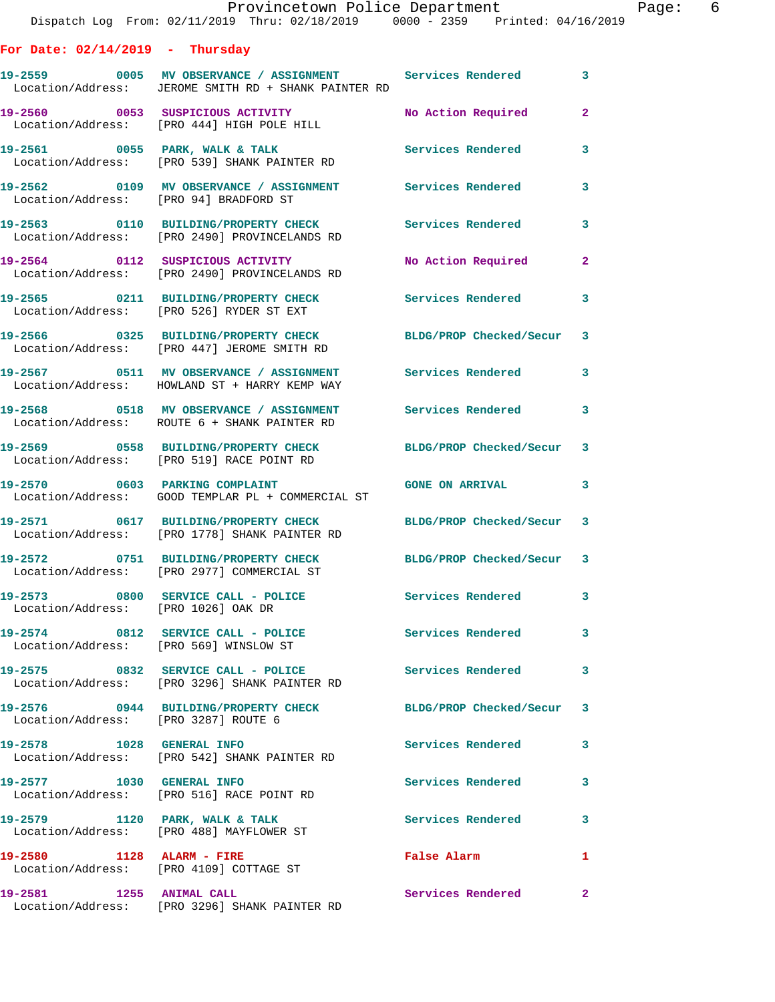|                                        | Provincetown Police Department<br>Dispatch Log From: 02/11/2019 Thru: 02/18/2019   0000 - 2359   Printed: 04/16/2019 |                           | Page: 6      |
|----------------------------------------|----------------------------------------------------------------------------------------------------------------------|---------------------------|--------------|
| For Date: $02/14/2019$ - Thursday      |                                                                                                                      |                           |              |
|                                        | 19-2559 0005 MV OBSERVANCE / ASSIGNMENT Services Rendered 3<br>Location/Address: JEROME SMITH RD + SHANK PAINTER RD  |                           |              |
|                                        | 19-2560      0053   SUSPICIOUS ACTIVITY<br>Location/Address:   [PRO 444]HIGH POLE HILL                               | No Action Required 2      |              |
|                                        | 19-2561 0055 PARK, WALK & TALK 1997 1997 Services Rendered<br>Location/Address: [PRO 539] SHANK PAINTER RD           |                           | 3            |
| Location/Address: [PRO 94] BRADFORD ST | 19-2562 0109 MV OBSERVANCE / ASSIGNMENT Services Rendered                                                            |                           | $\mathbf{3}$ |
|                                        | 19-2563 0110 BUILDING/PROPERTY CHECK Services Rendered<br>Location/Address: [PRO 2490] PROVINCELANDS RD              |                           | 3            |
|                                        | 19-2564 0112 SUSPICIOUS ACTIVITY<br>Location/Address: [PRO 2490] PROVINCELANDS RD                                    | No Action Required        | $\mathbf{2}$ |
|                                        | 19-2565 0211 BUILDING/PROPERTY CHECK Services Rendered<br>Location/Address: [PRO 526] RYDER ST EXT                   |                           | 3            |
|                                        | 19-2566 0325 BUILDING/PROPERTY CHECK BLDG/PROP Checked/Secur 3<br>Location/Address: [PRO 447] JEROME SMITH RD        |                           |              |
|                                        | 19-2567 0511 MV OBSERVANCE / ASSIGNMENT Services Rendered<br>Location/Address: HOWLAND ST + HARRY KEMP WAY           |                           | 3            |
|                                        | 19-2568 0518 MV OBSERVANCE / ASSIGNMENT Services Rendered 3<br>Location/Address: ROUTE 6 + SHANK PAINTER RD          |                           |              |
|                                        | 19-2569 0558 BUILDING/PROPERTY CHECK BLDG/PROP Checked/Secur 3<br>Location/Address: [PRO 519] RACE POINT RD          |                           |              |
|                                        | 19-2570 0603 PARKING COMPLAINT CONSTANT GONE ON ARRIVAL<br>Location/Address: GOOD TEMPLAR PL + COMMERCIAL ST         |                           | $\mathbf{3}$ |
|                                        | 19-2571 0617 BUILDING/PROPERTY CHECK BLDG/PROP Checked/Secur 3<br>Location/Address: [PRO 1778] SHANK PAINTER RD      |                           |              |
|                                        | 19-2572 0751 BUILDING/PROPERTY CHECK<br>Location/Address: [PRO 2977] COMMERCIAL ST                                   | BLDG/PROP Checked/Secur 3 |              |
| Location/Address: [PRO 1026] OAK DR    | 19-2573 0800 SERVICE CALL - POLICE                                                                                   | Services Rendered         | 3            |
|                                        | 19-2574 0812 SERVICE CALL - POLICE<br>Location/Address: [PRO 569] WINSLOW ST                                         | Services Rendered         | 3            |
|                                        | 19-2575 0832 SERVICE CALL - POLICE 3 Services Rendered<br>Location/Address: [PRO 3296] SHANK PAINTER RD              |                           | 3            |
| Location/Address: [PRO 3287] ROUTE 6   | 19-2576 0944 BUILDING/PROPERTY CHECK BLDG/PROP Checked/Secur 3                                                       |                           |              |
|                                        | 19-2578 1028 GENERAL INFO<br>Location/Address: [PRO 542] SHANK PAINTER RD                                            | Services Rendered         | 3            |
| 19-2577 1030 GENERAL INFO              | Location/Address: [PRO 516] RACE POINT RD                                                                            | Services Rendered         | 3            |
|                                        | 19-2579 1120 PARK, WALK & TALK<br>Location/Address: [PRO 488] MAYFLOWER ST                                           | Services Rendered         | 3            |
| 19-2580 1128 ALARM - FIRE              | Location/Address: [PRO 4109] COTTAGE ST                                                                              | False Alarm               | 1            |
| 19-2581 1255 ANIMAL CALL               |                                                                                                                      | Services Rendered         | $\mathbf{2}$ |

Location/Address: [PRO 3296] SHANK PAINTER RD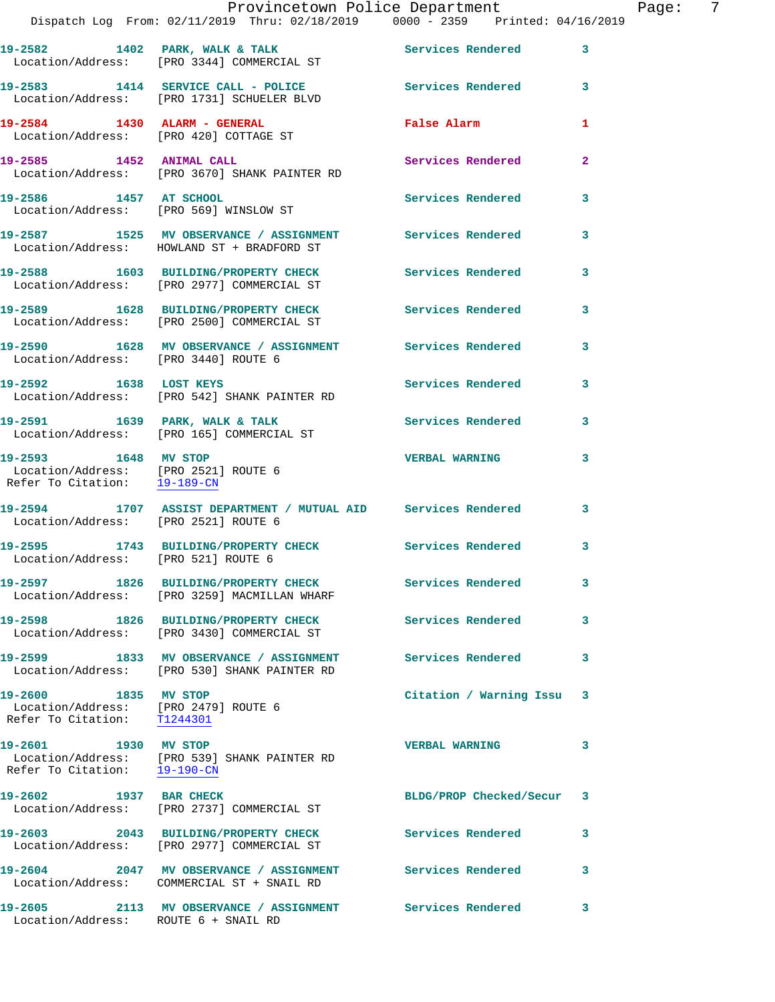|                                                                                                           | Provincetown Police Department                                                                            |                          |   |
|-----------------------------------------------------------------------------------------------------------|-----------------------------------------------------------------------------------------------------------|--------------------------|---|
|                                                                                                           | Dispatch Log From: 02/11/2019 Thru: 02/18/2019 0000 - 2359 Printed: 04/16/2019                            |                          |   |
|                                                                                                           | 19-2582 1402 PARK, WALK & TALK<br>Location/Address: [PRO 3344] COMMERCIAL ST                              | Services Rendered        | 3 |
|                                                                                                           | 19-2583 1414 SERVICE CALL - POLICE Services Rendered<br>Location/Address: [PRO 1731] SCHUELER BLVD        |                          | 3 |
|                                                                                                           | 19-2584 1430 ALARM - GENERAL<br>Location/Address: [PRO 420] COTTAGE ST                                    | False Alarm              | 1 |
| 19-2585 1452 ANIMAL CALL                                                                                  | Location/Address: [PRO 3670] SHANK PAINTER RD                                                             | <b>Services Rendered</b> | 2 |
| 19-2586 1457 AT SCHOOL                                                                                    | Location/Address: [PRO 569] WINSLOW ST                                                                    | <b>Services Rendered</b> | 3 |
|                                                                                                           | 19-2587 1525 MV OBSERVANCE / ASSIGNMENT Services Rendered<br>Location/Address: HOWLAND ST + BRADFORD ST   |                          | 3 |
|                                                                                                           | 19-2588 1603 BUILDING/PROPERTY CHECK<br>Location/Address: [PRO 2977] COMMERCIAL ST                        | <b>Services Rendered</b> | 3 |
|                                                                                                           | 19-2589 1628 BUILDING/PROPERTY CHECK<br>Location/Address: [PRO 2500] COMMERCIAL ST                        | <b>Services Rendered</b> | 3 |
| Location/Address: [PRO 3440] ROUTE 6                                                                      | 19-2590 1628 MV OBSERVANCE / ASSIGNMENT Services Rendered                                                 |                          | 3 |
| 19-2592 1638 LOST KEYS                                                                                    | Location/Address: [PRO 542] SHANK PAINTER RD                                                              | Services Rendered        | 3 |
|                                                                                                           | 19-2591 1639 PARK, WALK & TALK<br>Location/Address: [PRO 165] COMMERCIAL ST                               | <b>Services Rendered</b> | 3 |
| 19-2593 1648 MV STOP<br>Location/Address: [PRO 2521] ROUTE 6<br>Refer To Citation: $\frac{19-189-CN}{29}$ |                                                                                                           | <b>VERBAL WARNING</b>    | 3 |
| Location/Address: [PRO 2521] ROUTE 6                                                                      | 19-2594 1707 ASSIST DEPARTMENT / MUTUAL AID Services Rendered                                             |                          | 3 |
| Location/Address: [PRO 521] ROUTE 6                                                                       | 19-2595 1743 BUILDING/PROPERTY CHECK Services Rendered                                                    |                          | 3 |
|                                                                                                           | 19-2597 1826 BUILDING/PROPERTY CHECK<br>Location/Address: [PRO 3259] MACMILLAN WHARF                      | Services Rendered        | 3 |
|                                                                                                           | 19-2598 1826 BUILDING/PROPERTY CHECK<br>Location/Address: [PRO 3430] COMMERCIAL ST                        | <b>Services Rendered</b> | 3 |
|                                                                                                           | 19-2599 1833 MV OBSERVANCE / ASSIGNMENT Services Rendered<br>Location/Address: [PRO 530] SHANK PAINTER RD |                          | 3 |
| 19-2600 1835 MV STOP<br>Location/Address: [PRO 2479] ROUTE 6<br>Refer To Citation: T1244301               |                                                                                                           | Citation / Warning Issu  | 3 |
| 19-2601 1930 MV STOP<br>Refer To Citation: 19-190-CN                                                      | Location/Address: [PRO 539] SHANK PAINTER RD                                                              | <b>VERBAL WARNING</b>    | 3 |
| 19-2602 1937 BAR CHECK                                                                                    | Location/Address: [PRO 2737] COMMERCIAL ST                                                                | BLDG/PROP Checked/Secur  | 3 |
|                                                                                                           | 19-2603 2043 BUILDING/PROPERTY CHECK<br>Location/Address: [PRO 2977] COMMERCIAL ST                        | <b>Services Rendered</b> | 3 |
|                                                                                                           | 19-2604 2047 MV OBSERVANCE / ASSIGNMENT Services Rendered<br>Location/Address: COMMERCIAL ST + SNAIL RD   |                          | 3 |
| Location/Address: ROUTE 6 + SNAIL RD                                                                      | 19-2605 2113 MV OBSERVANCE / ASSIGNMENT Services Rendered                                                 |                          | 3 |

Page: 7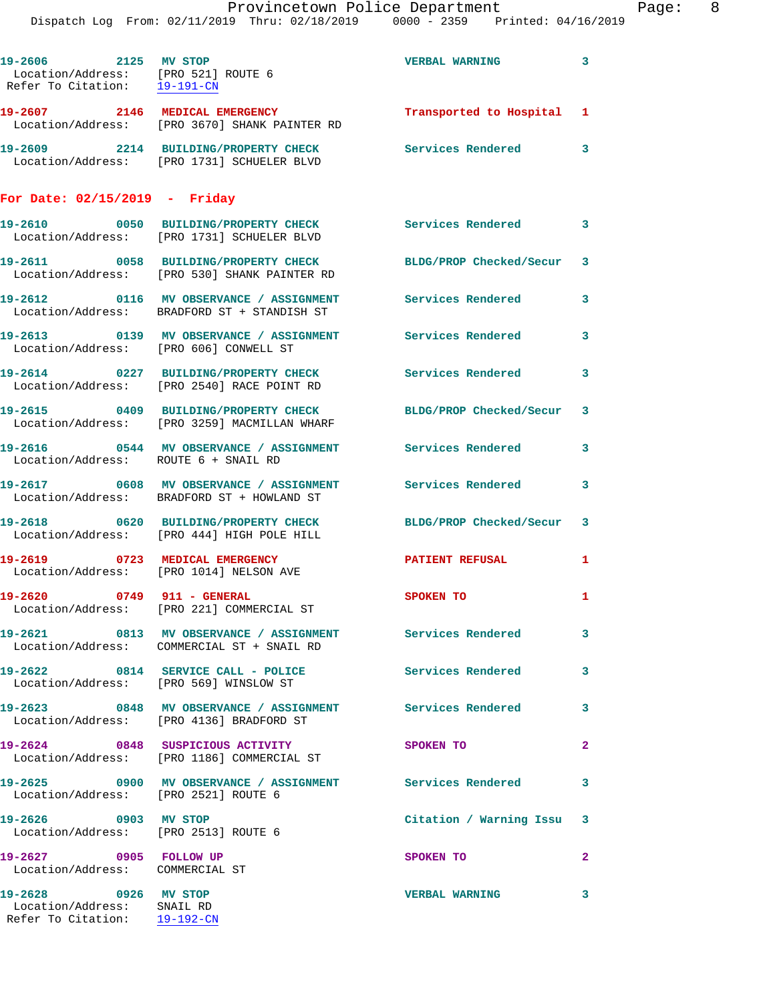|                                        | Dispatch Log From: 02/11/2019 Thru: 02/18/2019 0000 - 2359 Printed: 04/16/2019                                 | Provincetown Police Department |              | Page: 8 |  |
|----------------------------------------|----------------------------------------------------------------------------------------------------------------|--------------------------------|--------------|---------|--|
| 19-2606 2125 MV STOP                   | Location/Address: [PRO 521] ROUTE 6<br>Refer To Citation: $\frac{19-191-CN}{29}$                               | VERBAL WARNING 3               |              |         |  |
|                                        |                                                                                                                | Transported to Hospital 1      |              |         |  |
|                                        | 19-2609 2214 BUILDING/PROPERTY CHECK Services Rendered 3<br>Location/Address: [PRO 1731] SCHUELER BLVD         |                                |              |         |  |
| For Date: $02/15/2019$ - Friday        |                                                                                                                |                                |              |         |  |
|                                        | 19-2610 0050 BUILDING/PROPERTY CHECK Services Rendered 3<br>Location/Address: [PRO 1731] SCHUELER BLVD         |                                |              |         |  |
|                                        | 19-2611 0058 BUILDING/PROPERTY CHECK BLDG/PROP Checked/Secur 3<br>Location/Address: [PRO 530] SHANK PAINTER RD |                                |              |         |  |
|                                        | 19-2612 0116 MV OBSERVANCE / ASSIGNMENT Services Rendered 3<br>Location/Address: BRADFORD ST + STANDISH ST     |                                |              |         |  |
| Location/Address: [PRO 606] CONWELL ST | 19-2613 		 0139 MV OBSERVANCE / ASSIGNMENT Services Rendered 3                                                 |                                |              |         |  |
|                                        | 19-2614 0227 BUILDING/PROPERTY CHECK Services Rendered 3<br>Location/Address: [PRO 2540] RACE POINT RD         |                                |              |         |  |
|                                        | 19-2615 0409 BUILDING/PROPERTY CHECK BLDG/PROP Checked/Secur 3<br>Location/Address: [PRO 3259] MACMILLAN WHARF |                                |              |         |  |
| Location/Address: ROUTE 6 + SNAIL RD   | 19-2616  0544 MV OBSERVANCE / ASSIGNMENT Services Rendered                                                     |                                | $\mathbf{3}$ |         |  |
|                                        | 19-2617 0608 MV OBSERVANCE / ASSIGNMENT Services Rendered 3<br>Location/Address: BRADFORD ST + HOWLAND ST      |                                |              |         |  |
|                                        | 19-2618 0620 BUILDING/PROPERTY CHECK BLDG/PROP Checked/Secur 3<br>Location/Address: [PRO 444] HIGH POLE HILL   |                                |              |         |  |
|                                        | 19-2619 0723 MEDICAL EMERGENCY<br>Location/Address: [PRO 1014] NELSON AVE                                      | <b>PATIENT REFUSAL</b>         | 1            |         |  |
|                                        | Location/Address: [PRO 221] COMMERCIAL ST                                                                      | SPOKEN TO                      | 1            |         |  |
|                                        | Location/Address: COMMERCIAL ST + SNAIL RD                                                                     | Services Rendered              | 3            |         |  |
| 19-2622                                | 0814 SERVICE CALL - POLICE                                                                                     | Services Rendered              | 3            |         |  |

Location/Address: [PRO 569] WINSLOW ST

19-2623 0848 MV OBSERVANCE / ASSIGNMENT Services Rendered 3 Location/Address: [PRO 4136] BRADFORD ST

**19-2624 0848 SUSPICIOUS ACTIVITY SPOKEN TO 2**  Location/Address: [PRO 1186] COMMERCIAL ST

**19-2625 0900 MV OBSERVANCE / ASSIGNMENT Services Rendered 3**  Location/Address: [PRO 2521] ROUTE 6

**19-2626 0903 MV STOP Citation / Warning Issu 3**  Location/Address: [PRO 2513] ROUTE 6

**19-2627** 0905 FOLLOW UP SPOKEN TO 2 Location/Address: COMMERCIAL ST

**19-2628 0926 MV STOP VERBAL WARNING 3**  Location/Address: SNAIL RD Refer To Citation: 19-192-CN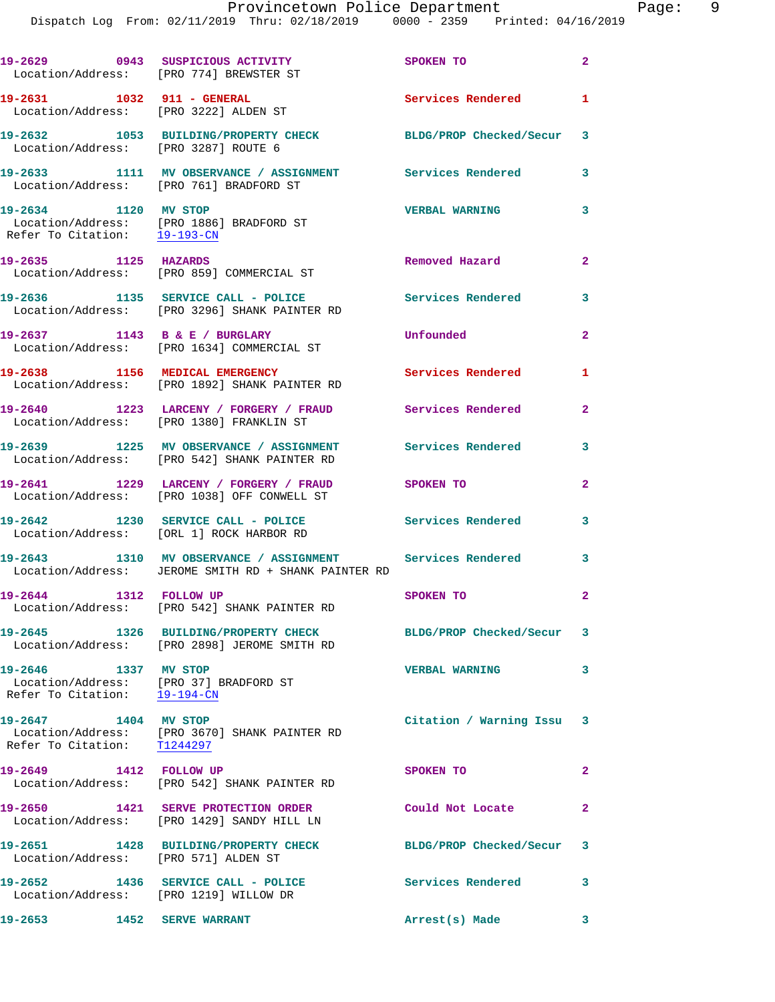Dispatch Log From: 02/11/2019 Thru: 02/18/2019 0000 - 2359 Printed: 04/16/2019

|                                                                                                             | 19-2629 0943 SUSPICIOUS ACTIVITY<br>Location/Address: [PRO 774] BREWSTER ST                                       | SPOKEN TO                 | $\overline{2}$ |
|-------------------------------------------------------------------------------------------------------------|-------------------------------------------------------------------------------------------------------------------|---------------------------|----------------|
| 19-2631 1032 911 - GENERAL<br>Location/Address: [PRO 3222] ALDEN ST                                         |                                                                                                                   | Services Rendered         | 1              |
| Location/Address: [PRO 3287] ROUTE 6                                                                        | 19-2632 1053 BUILDING/PROPERTY CHECK BLDG/PROP Checked/Secur 3                                                    |                           |                |
|                                                                                                             | 19-2633 1111 MV OBSERVANCE / ASSIGNMENT Services Rendered<br>Location/Address: [PRO 761] BRADFORD ST              |                           | 3              |
| 19-2634 1120 MV STOP<br>Refer To Citation: 19-193-CN                                                        | Location/Address: [PRO 1886] BRADFORD ST                                                                          | <b>VERBAL WARNING</b>     | 3              |
| 19-2635 1125 HAZARDS                                                                                        | Location/Address: [PRO 859] COMMERCIAL ST                                                                         | Removed Hazard            | $\overline{2}$ |
|                                                                                                             | 19-2636 1135 SERVICE CALL - POLICE<br>Location/Address: [PRO 3296] SHANK PAINTER RD                               | <b>Services Rendered</b>  | 3              |
|                                                                                                             | 19-2637 1143 B & E / BURGLARY<br>Location/Address: [PRO 1634] COMMERCIAL ST                                       | Unfounded                 | $\overline{2}$ |
|                                                                                                             | 19-2638 1156 MEDICAL EMERGENCY<br>Location/Address: [PRO 1892] SHANK PAINTER RD                                   | Services Rendered         | 1              |
|                                                                                                             | 19-2640 1223 LARCENY / FORGERY / FRAUD Services Rendered<br>Location/Address: [PRO 1380] FRANKLIN ST              |                           | $\mathbf{2}$   |
|                                                                                                             | 19-2639 1225 MV OBSERVANCE / ASSIGNMENT<br>Location/Address: [PRO 542] SHANK PAINTER RD                           | Services Rendered         | 3              |
|                                                                                                             | 19-2641 1229 LARCENY / FORGERY / FRAUD<br>Location/Address: [PRO 1038] OFF CONWELL ST                             | <b>SPOKEN TO</b>          | $\overline{a}$ |
|                                                                                                             | 19-2642 1230 SERVICE CALL - POLICE<br>Location/Address: [ORL 1] ROCK HARBOR RD                                    | Services Rendered         | 3              |
|                                                                                                             | 19-2643 1310 MV OBSERVANCE / ASSIGNMENT Services Rendered<br>Location/Address: JEROME SMITH RD + SHANK PAINTER RD |                           | 3              |
| 1312 FOLLOW UP<br>19-2644                                                                                   | Location/Address: [PRO 542] SHANK PAINTER RD                                                                      | SPOKEN TO                 | $\mathbf{2}$   |
|                                                                                                             | 19-2645 1326 BUILDING/PROPERTY CHECK<br>Location/Address: [PRO 2898] JEROME SMITH RD                              | BLDG/PROP Checked/Secur 3 |                |
| 19-2646 1337 MV STOP<br>Location/Address: [PRO 37] BRADFORD ST<br>Refer To Citation: $\frac{19-194-CN}{29}$ |                                                                                                                   | <b>VERBAL WARNING</b>     | 3              |
| 19-2647 1404 MV STOP                                                                                        | Location/Address: [PRO 3670] SHANK PAINTER RD<br>Refer To Citation: T1244297                                      | Citation / Warning Issu 3 |                |
| 19-2649 1412 FOLLOW UP                                                                                      | Location/Address: [PRO 542] SHANK PAINTER RD                                                                      | SPOKEN TO                 | $\overline{a}$ |
|                                                                                                             | 19-2650 1421 SERVE PROTECTION ORDER<br>Location/Address: [PRO 1429] SANDY HILL LN                                 | Could Not Locate          | $\overline{2}$ |
| Location/Address: [PRO 571] ALDEN ST                                                                        | 19-2651 1428 BUILDING/PROPERTY CHECK                                                                              | BLDG/PROP Checked/Secur 3 |                |
| Location/Address: [PRO 1219] WILLOW DR                                                                      | 19-2652 1436 SERVICE CALL - POLICE 3 Services Rendered                                                            |                           | 3              |
| 19-2653                                                                                                     | <b>1452 SERVE WARRANT</b>                                                                                         | Arrest(s) Made            | 3              |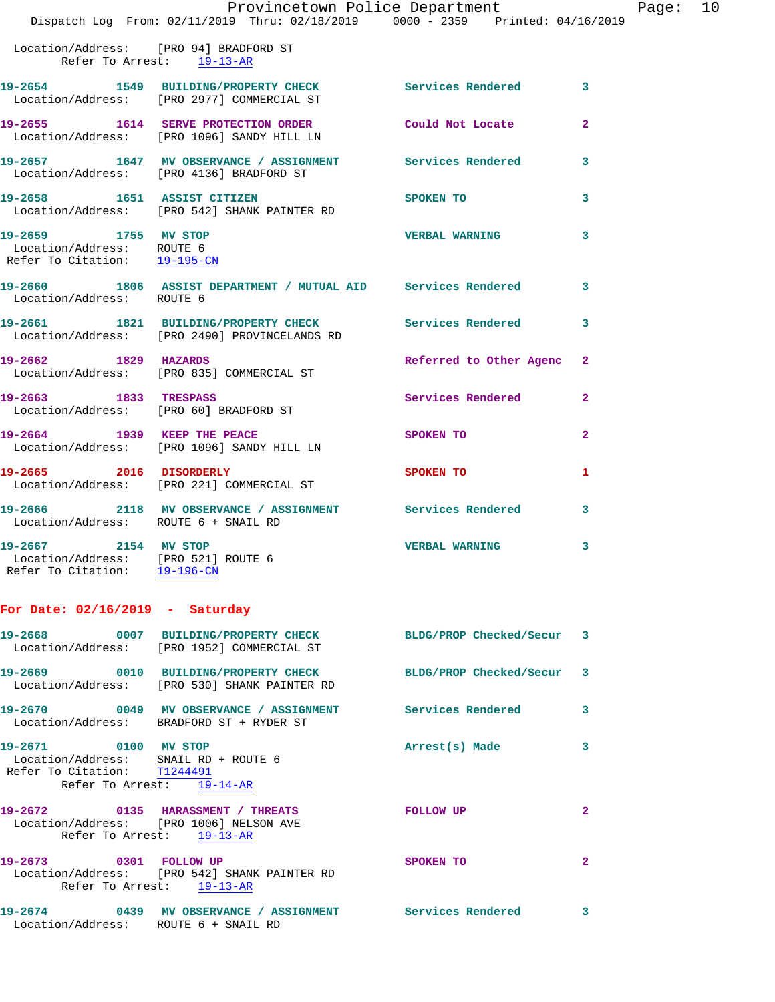|                                                |  |  | Provincetown Police Department  |  | Page: $10$ |  |
|------------------------------------------------|--|--|---------------------------------|--|------------|--|
| Dispatch Log From: 02/11/2019 Thru: 02/18/2019 |  |  | 0000 - 2359 Printed: 04/16/2019 |  |            |  |

 Location/Address: [PRO 94] BRADFORD ST Refer To Arrest: 19-13-AR

|                                                                                   | 19-2654 1549 BUILDING/PROPERTY CHECK Services Rendered<br>Location/Address: [PRO 2977] COMMERCIAL ST  |                           | $\overline{\mathbf{3}}$ |
|-----------------------------------------------------------------------------------|-------------------------------------------------------------------------------------------------------|---------------------------|-------------------------|
|                                                                                   | 19-2655 1614 SERVE PROTECTION ORDER<br>Location/Address: [PRO 1096] SANDY HILL LN                     | Could Not Locate          | $\overline{2}$          |
|                                                                                   | 19-2657 1647 MV OBSERVANCE / ASSIGNMENT Services Rendered<br>Location/Address: [PRO 4136] BRADFORD ST |                           | 3                       |
|                                                                                   | 19-2658 1651 ASSIST CITIZEN<br>Location/Address: [PRO 542] SHANK PAINTER RD                           | SPOKEN TO                 | 3                       |
| 19-2659 1755 MV STOP<br>Location/Address: ROUTE 6<br>Refer To Citation: 19-195-CN |                                                                                                       | <b>VERBAL WARNING</b>     | $\overline{\mathbf{3}}$ |
| Location/Address: ROUTE 6                                                         | 19-2660 1806 ASSIST DEPARTMENT / MUTUAL AID Services Rendered                                         |                           | 3                       |
|                                                                                   | 19-2661 1821 BUILDING/PROPERTY CHECK<br>Location/Address: [PRO 2490] PROVINCELANDS RD                 | <b>Services Rendered</b>  | 3                       |
| 19-2662 1829 HAZARDS                                                              | Location/Address: [PRO 835] COMMERCIAL ST                                                             | Referred to Other Agenc 2 |                         |
| 19-2663 1833 TRESPASS                                                             | Location/Address: [PRO 60] BRADFORD ST                                                                | Services Rendered         | $\mathbf{2}$            |
|                                                                                   | 19-2664 1939 KEEP THE PEACE<br>Location/Address: [PRO 1096] SANDY HILL LN                             | SPOKEN TO                 | $\overline{2}$          |
| 19-2665 2016 DISORDERLY                                                           | Location/Address: [PRO 221] COMMERCIAL ST                                                             | SPOKEN TO                 | $\mathbf{1}$            |
| Location/Address: ROUTE 6 + SNAIL RD                                              | 19-2666 2118 MV OBSERVANCE / ASSIGNMENT Services Rendered                                             |                           | 3                       |
| 19-2667 2154 MV STOP<br>Logation (Address: [DPO 501] POUTE 6                      |                                                                                                       | <b>VERBAL WARNING</b>     | 3                       |

 Location/Address: [PRO 521] ROUTE 6 Refer To Citation: 19-196-CN

## **For Date: 02/16/2019 - Saturday**

|                                                                                             | 19-2668       0007   BUILDING/PROPERTY CHECK        BLDG/PROP Checked/Secur   3<br>Location/Address: [PRO 1952] COMMERCIAL ST |                  |                |
|---------------------------------------------------------------------------------------------|-------------------------------------------------------------------------------------------------------------------------------|------------------|----------------|
|                                                                                             | 19-2669 0010 BUILDING/PROPERTY CHECK BLDG/PROP Checked/Secur 3<br>Location/Address: [PRO 530] SHANK PAINTER RD                |                  |                |
|                                                                                             | Location/Address: BRADFORD ST + RYDER ST                                                                                      |                  | $\mathbf{3}$   |
| 19-2671 0100 MV STOP<br>Location/Address: SNAIL RD + ROUTE 6<br>Refer To Citation: T1244491 | Refer To Arrest: 19-14-AR                                                                                                     | Arrest(s) Made   | 3              |
|                                                                                             | 19-2672 0135 HARASSMENT / THREATS<br>Location/Address: [PRO 1006] NELSON AVE<br>Refer To Arrest: 19-13-AR                     | <b>FOLLOW UP</b> | $\overline{2}$ |
|                                                                                             | Location/Address: [PRO 542] SHANK PAINTER RD<br>Refer To Arrest: 19-13-AR                                                     | <b>SPOKEN TO</b> | $\overline{2}$ |
|                                                                                             | 19-2674       0439   MV OBSERVANCE / ASSIGNMENT      Services Rendered                                                        |                  | 3              |

Location/Address: ROUTE 6 + SNAIL RD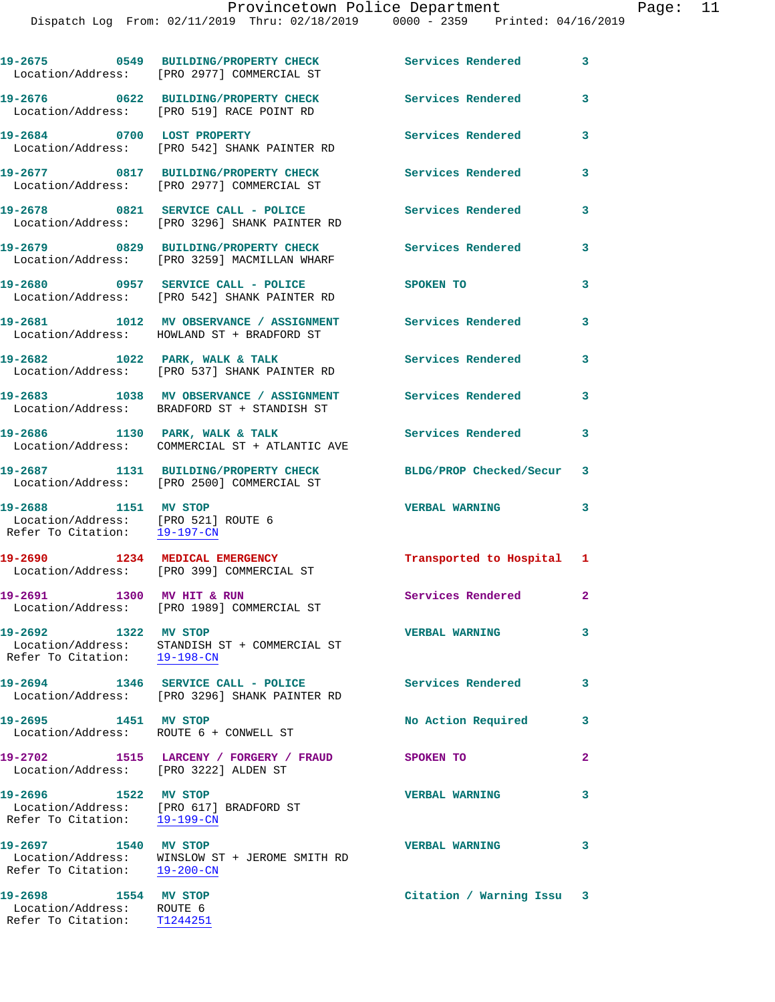|                                                                                             | 19-2675 0549 BUILDING/PROPERTY CHECK<br>Location/Address: [PRO 2977] COMMERCIAL ST                      | Services Rendered        | 3                       |
|---------------------------------------------------------------------------------------------|---------------------------------------------------------------------------------------------------------|--------------------------|-------------------------|
|                                                                                             | 19-2676 0622 BUILDING/PROPERTY CHECK<br>Location/Address: [PRO 519] RACE POINT RD                       | Services Rendered        | 3                       |
| 19-2684 0700 LOST PROPERTY                                                                  | Location/Address: [PRO 542] SHANK PAINTER RD                                                            | Services Rendered        | 3                       |
|                                                                                             | 19-2677 0817 BUILDING/PROPERTY CHECK<br>Location/Address: [PRO 2977] COMMERCIAL ST                      | <b>Services Rendered</b> | 3                       |
|                                                                                             | 19-2678 0821 SERVICE CALL - POLICE<br>Location/Address: [PRO 3296] SHANK PAINTER RD                     | <b>Services Rendered</b> | 3                       |
|                                                                                             | 19-2679 0829 BUILDING/PROPERTY CHECK<br>Location/Address: [PRO 3259] MACMILLAN WHARF                    | Services Rendered        | 3                       |
|                                                                                             | 19-2680 0957 SERVICE CALL - POLICE<br>Location/Address: [PRO 542] SHANK PAINTER RD                      | SPOKEN TO                | 3                       |
|                                                                                             | 19-2681 1012 MV OBSERVANCE / ASSIGNMENT Services Rendered<br>Location/Address: HOWLAND ST + BRADFORD ST |                          | 3                       |
|                                                                                             | 19-2682 1022 PARK, WALK & TALK<br>Location/Address: [PRO 537] SHANK PAINTER RD                          | <b>Services Rendered</b> | 3                       |
|                                                                                             | 19-2683 1038 MV OBSERVANCE / ASSIGNMENT<br>Location/Address: BRADFORD ST + STANDISH ST                  | Services Rendered        | 3                       |
|                                                                                             | 19-2686 1130 PARK, WALK & TALK<br>Location/Address: COMMERCIAL ST + ATLANTIC AVE                        | Services Rendered        | 3                       |
|                                                                                             | 19-2687 1131 BUILDING/PROPERTY CHECK<br>Location/Address: [PRO 2500] COMMERCIAL ST                      | BLDG/PROP Checked/Secur  | 3                       |
| 19-2688 1151 MV STOP<br>Location/Address: [PRO 521] ROUTE 6<br>Refer To Citation: 19-197-CN |                                                                                                         | <b>VERBAL WARNING</b>    | 3                       |
|                                                                                             | 19-2690 1234 MEDICAL EMERGENCY<br>Location/Address: [PRO 399] COMMERCIAL ST                             | Transported to Hospital  | ı                       |
| 19-2691 1300 MV HIT & RUN                                                                   | Location/Address: [PRO 1989] COMMERCIAL ST                                                              | Services Rendered        | $\mathbf{2}$            |
| 19-2692 1322 MV STOP                                                                        | Location/Address: STANDISH ST + COMMERCIAL ST<br>Refer To Citation: 19-198-CN                           | <b>VERBAL WARNING</b>    | 3                       |
|                                                                                             | 19-2694 1346 SERVICE CALL - POLICE<br>Location/Address: [PRO 3296] SHANK PAINTER RD                     | Services Rendered        | 3                       |
| 19-2695 1451 MV STOP                                                                        | Location/Address: ROUTE 6 + CONWELL ST                                                                  | No Action Required       | 3                       |
| Location/Address: [PRO 3222] ALDEN ST                                                       | 19-2702 1515 LARCENY / FORGERY / FRAUD                                                                  | SPOKEN TO                | $\overline{\mathbf{2}}$ |
| 19-2696 1522 MV STOP<br>Refer To Citation: 19-199-CN                                        | Location/Address: [PRO 617] BRADFORD ST                                                                 | <b>VERBAL WARNING</b>    | 3                       |
| 19-2697 1540 MV STOP                                                                        | Location/Address: WINSLOW ST + JEROME SMITH RD<br>Refer To Citation: $19-200-CN$                        | <b>VERBAL WARNING</b>    | 3                       |
| 19-2698 1554 MV STOP<br>Location/Address: ROUTE 6                                           |                                                                                                         | Citation / Warning Issu  | 3                       |

Refer To Citation: T1244251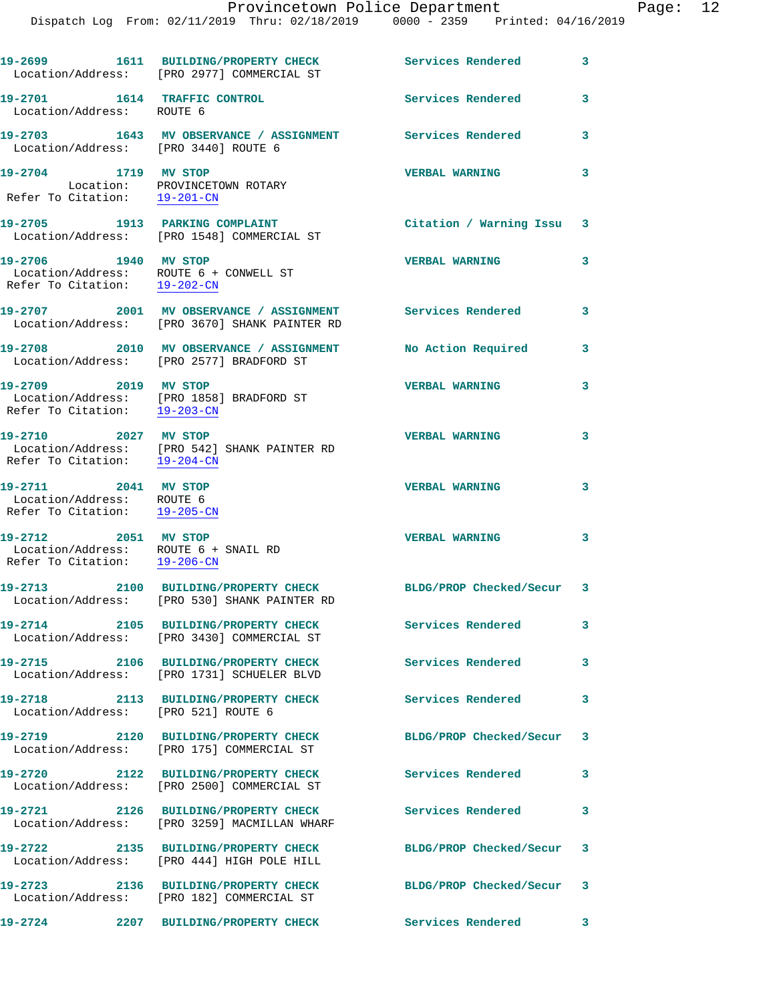| Provincetown Police Department |  |  |  | Page: $12$ |  |                                                                                |  |  |
|--------------------------------|--|--|--|------------|--|--------------------------------------------------------------------------------|--|--|
|                                |  |  |  |            |  | Dispatch Log From: 02/11/2019 Thru: 02/18/2019 0000 - 2359 Printed: 04/16/2019 |  |  |

|                                                                                                              | 19-2699 1611 BUILDING/PROPERTY CHECK<br>Location/Address: [PRO 2977] COMMERCIAL ST                         | Services Rendered         | $\sim$ 3 |
|--------------------------------------------------------------------------------------------------------------|------------------------------------------------------------------------------------------------------------|---------------------------|----------|
| 19-2701 1614 TRAFFIC CONTROL<br>Location/Address: ROUTE 6                                                    |                                                                                                            | Services Rendered         | 3        |
| Location/Address: [PRO 3440] ROUTE 6                                                                         | 19-2703 1643 MV OBSERVANCE / ASSIGNMENT Services Rendered                                                  |                           | 3        |
| 19-2704 1719 MV STOP<br>Location: PROVINCETOWN ROTARY<br>Refer To Citation: $\frac{19-201-CN}{2}$            |                                                                                                            | <b>VERBAL WARNING</b>     | 3        |
|                                                                                                              | 19-2705 1913 PARKING COMPLAINT<br>Location/Address: [PRO 1548] COMMERCIAL ST                               | Citation / Warning Issu 3 |          |
| 19-2706 1940 MV STOP<br>Location/Address: ROUTE 6 + CONWELL ST<br>Refer To Citation: 19-202-CN               |                                                                                                            | <b>VERBAL WARNING</b>     | 3        |
|                                                                                                              | 19-2707 2001 MV OBSERVANCE / ASSIGNMENT Services Rendered<br>Location/Address: [PRO 3670] SHANK PAINTER RD |                           | 3        |
|                                                                                                              | 19-2708 2010 MV OBSERVANCE / ASSIGNMENT<br>Location/Address: [PRO 2577] BRADFORD ST                        | No Action Required        | 3        |
| 19-2709 2019 MV STOP                                                                                         | Location/Address: [PRO 1858] BRADFORD ST<br>Refer To Citation: 19-203-CN                                   | <b>VERBAL WARNING</b>     | 3        |
| 19-2710 2027 MV STOP<br>Refer To Citation: 19-204-CN                                                         | Location/Address: [PRO 542] SHANK PAINTER RD                                                               | <b>VERBAL WARNING</b>     | 3        |
| 19-2711 2041 MV STOP<br>Location/Address: ROUTE 6<br>Refer To Citation: 19-205-CN                            |                                                                                                            | <b>VERBAL WARNING</b>     | 3        |
| 19-2712 2051 MV STOP<br>Location/Address: ROUTE $6 +$ SNAIL RD<br>Refer To Citation: $\frac{19-206-CN}{\pi}$ |                                                                                                            | <b>VERBAL WARNING</b>     | 3        |
| 19-2713                                                                                                      | 2100 BUILDING/PROPERTY CHECK<br>Location/Address: [PRO 530] SHANK PAINTER RD                               | BLDG/PROP Checked/Secur 3 |          |
|                                                                                                              | 19-2714 2105 BUILDING/PROPERTY CHECK<br>Location/Address: [PRO 3430] COMMERCIAL ST                         | Services Rendered         | 3        |
|                                                                                                              | 19-2715 2106 BUILDING/PROPERTY CHECK<br>Location/Address: [PRO 1731] SCHUELER BLVD                         | <b>Services Rendered</b>  | 3        |
| Location/Address: [PRO 521] ROUTE 6                                                                          | 19-2718 2113 BUILDING/PROPERTY CHECK                                                                       | <b>Services Rendered</b>  | 3        |
|                                                                                                              | 19-2719 2120 BUILDING/PROPERTY CHECK<br>Location/Address: [PRO 175] COMMERCIAL ST                          | BLDG/PROP Checked/Secur 3 |          |
|                                                                                                              | 19-2720 2122 BUILDING/PROPERTY CHECK<br>Location/Address: [PRO 2500] COMMERCIAL ST                         | <b>Services Rendered</b>  | 3        |
|                                                                                                              | 19-2721 2126 BUILDING/PROPERTY CHECK<br>Location/Address: [PRO 3259] MACMILLAN WHARF                       | Services Rendered         | 3        |
|                                                                                                              | 19-2722 2135 BUILDING/PROPERTY CHECK<br>Location/Address: [PRO 444] HIGH POLE HILL                         | BLDG/PROP Checked/Secur 3 |          |
|                                                                                                              | 19-2723 2136 BUILDING/PROPERTY CHECK<br>Location/Address: [PRO 182] COMMERCIAL ST                          | BLDG/PROP Checked/Secur 3 |          |
|                                                                                                              | 19-2724 2207 BUILDING/PROPERTY CHECK                                                                       | <b>Services Rendered</b>  | 3        |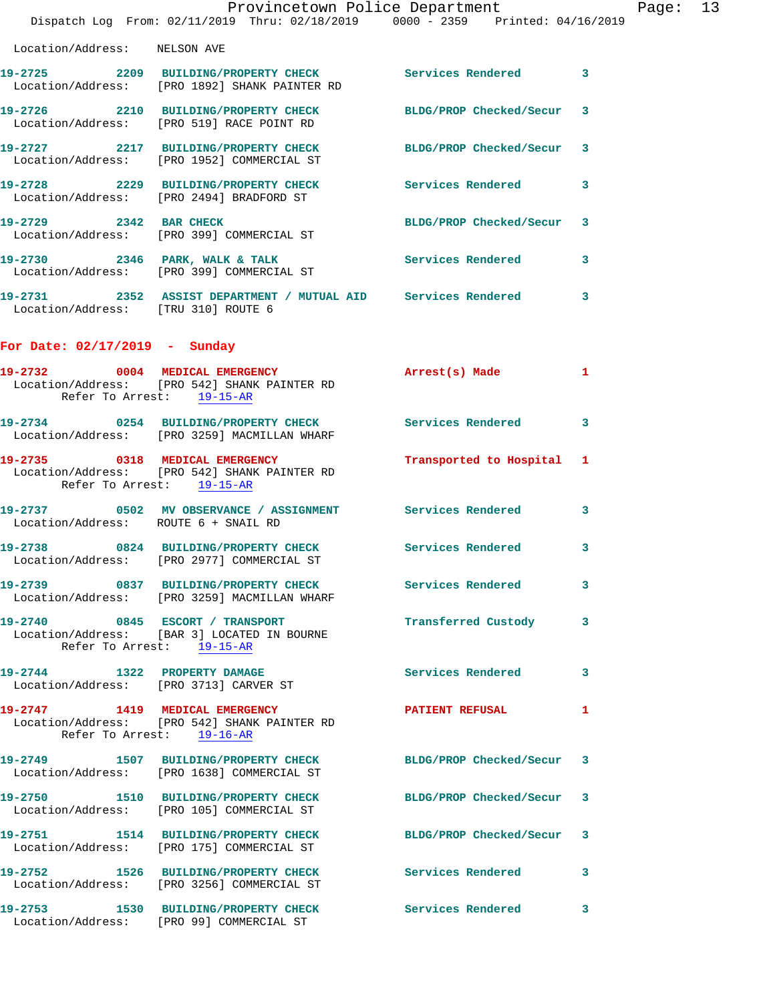|                                      | Provincetown Police Department<br>Dispatch Log From: 02/11/2019 Thru: 02/18/2019 0000 - 2359 Printed: 04/16/2019 |                           |   | Page: 13 |  |
|--------------------------------------|------------------------------------------------------------------------------------------------------------------|---------------------------|---|----------|--|
| Location/Address: NELSON AVE         |                                                                                                                  |                           |   |          |  |
|                                      | 19-2725 2209 BUILDING/PROPERTY CHECK Services Rendered 3<br>Location/Address: [PRO 1892] SHANK PAINTER RD        |                           |   |          |  |
|                                      | 19-2726 2210 BUILDING/PROPERTY CHECK BLDG/PROP Checked/Secur 3<br>Location/Address: [PRO 519] RACE POINT RD      |                           |   |          |  |
|                                      | 19-2727 2217 BUILDING/PROPERTY CHECK BLDG/PROP Checked/Secur 3<br>Location/Address: [PRO 1952] COMMERCIAL ST     |                           |   |          |  |
|                                      | 19-2728 2229 BUILDING/PROPERTY CHECK Services Rendered<br>Location/Address: [PRO 2494] BRADFORD ST               |                           | 3 |          |  |
|                                      | 19-2729 2342 BAR CHECK<br>Location/Address: [PRO 399] COMMERCIAL ST                                              | BLDG/PROP Checked/Secur 3 |   |          |  |
|                                      | 19-2730 2346 PARK, WALK & TALK Services Rendered<br>Location/Address: [PRO 399] COMMERCIAL ST                    |                           | 3 |          |  |
| Location/Address: [TRU 310] ROUTE 6  | 19-2731 2352 ASSIST DEPARTMENT / MUTUAL AID Services Rendered 3                                                  |                           |   |          |  |
| For Date: $02/17/2019$ - Sunday      |                                                                                                                  |                           |   |          |  |
|                                      | 19-2732 0004 MEDICAL EMERGENCY<br>Location/Address: [PRO 542] SHANK PAINTER RD<br>Refer To Arrest: 19-15-AR      | Arrest(s) Made 1          |   |          |  |
|                                      | 19-2734 0254 BUILDING/PROPERTY CHECK Services Rendered<br>Location/Address: [PRO 3259] MACMILLAN WHARF           |                           | 3 |          |  |
| Refer To Arrest: 19-15-AR            | 19-2735 0318 MEDICAL EMERGENCY<br>Location/Address: [PRO 542] SHANK PAINTER RD                                   | Transported to Hospital 1 |   |          |  |
| Location/Address: ROUTE 6 + SNAIL RD | 19-2737 0502 MV OBSERVANCE / ASSIGNMENT Services Rendered 3                                                      |                           |   |          |  |
|                                      | 19-2738 0824 BUILDING/PROPERTY CHECK Services Rendered<br>Location/Address: [PRO 2977] COMMERCIAL ST             |                           | 3 |          |  |
|                                      | 19-2739 0837 BUILDING/PROPERTY CHECK Services Rendered<br>Location/Address: [PRO 3259] MACMILLAN WHARF           |                           | 3 |          |  |
|                                      | 19-2740 0845 ESCORT / TRANSPORT<br>Location/Address: [BAR 3] LOCATED IN BOURNE<br>Refer To Arrest: 19-15-AR      | Transferred Custody 3     |   |          |  |
|                                      | 19-2744 1322 PROPERTY DAMAGE<br>Location/Address: [PRO 3713] CARVER ST                                           | Services Rendered         | 3 |          |  |
|                                      | 19-2747 1419 MEDICAL EMERGENCY<br>Location/Address: [PRO 542] SHANK PAINTER RD<br>Refer To Arrest: 19-16-AR      | <b>PATIENT REFUSAL</b>    | 1 |          |  |
|                                      | 19-2749 1507 BUILDING/PROPERTY CHECK BLDG/PROP Checked/Secur 3<br>Location/Address: [PRO 1638] COMMERCIAL ST     |                           |   |          |  |
|                                      | 19-2750 1510 BUILDING/PROPERTY CHECK BLDG/PROP Checked/Secur 3<br>Location/Address: [PRO 105] COMMERCIAL ST      |                           |   |          |  |
|                                      | 19-2751 1514 BUILDING/PROPERTY CHECK BLDG/PROP Checked/Secur 3<br>Location/Address: [PRO 175] COMMERCIAL ST      |                           |   |          |  |
|                                      | 19-2752 1526 BUILDING/PROPERTY CHECK Services Rendered<br>Location/Address: [PRO 3256] COMMERCIAL ST             |                           | 3 |          |  |
|                                      | 19-2753 1530 BUILDING/PROPERTY CHECK Services Rendered 3                                                         |                           |   |          |  |

Location/Address: [PRO 99] COMMERCIAL ST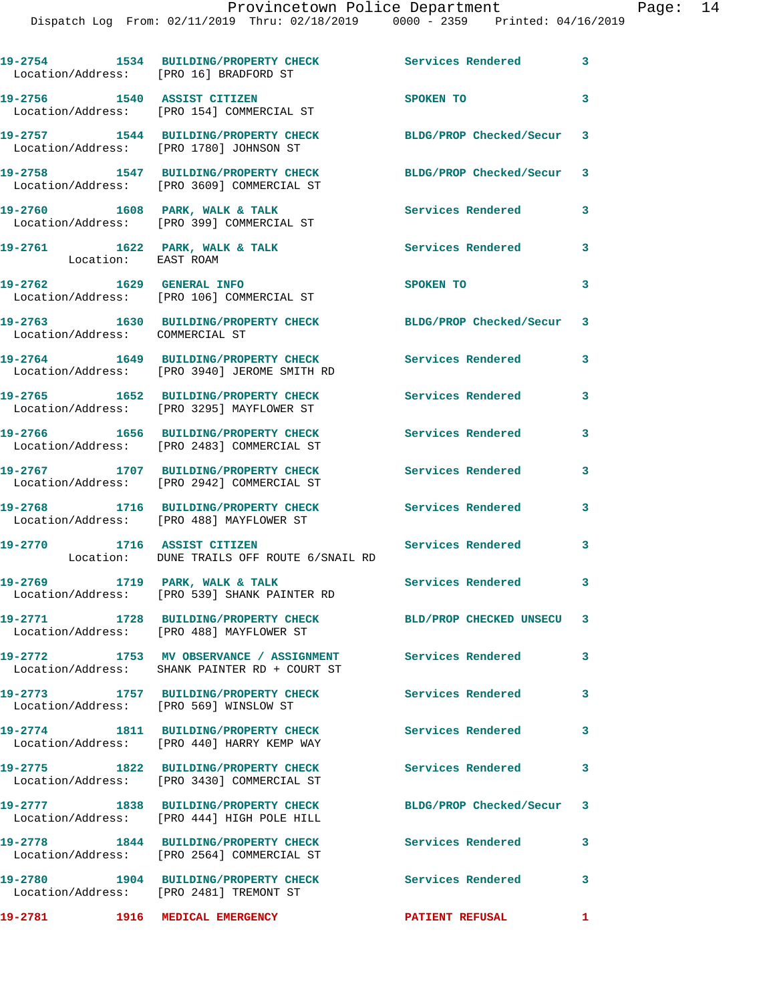| Location/Address: [PRO 16] BRADFORD ST                | 19-2754 1534 BUILDING/PROPERTY CHECK                                                                       | Services Rendered         | $\mathbf{3}$ |
|-------------------------------------------------------|------------------------------------------------------------------------------------------------------------|---------------------------|--------------|
| 19-2756 1540 ASSIST CITIZEN                           | Location/Address: [PRO 154] COMMERCIAL ST                                                                  | SPOKEN TO                 | $\mathbf{3}$ |
|                                                       | 19-2757 1544 BUILDING/PROPERTY CHECK<br>Location/Address: [PRO 1780] JOHNSON ST                            | BLDG/PROP Checked/Secur 3 |              |
|                                                       | 19-2758 1547 BUILDING/PROPERTY CHECK<br>Location/Address: [PRO 3609] COMMERCIAL ST                         | BLDG/PROP Checked/Secur 3 |              |
|                                                       | 19-2760 1608 PARK, WALK & TALK<br>Location/Address: [PRO 399] COMMERCIAL ST                                | Services Rendered         | 3            |
| 19-2761 1622 PARK, WALK & TALK<br>Location: EAST ROAM |                                                                                                            | Services Rendered         | 3            |
| 19-2762 1629 GENERAL INFO                             | Location/Address: [PRO 106] COMMERCIAL ST                                                                  | SPOKEN TO                 | 3            |
| Location/Address: COMMERCIAL ST                       | 19-2763 1630 BUILDING/PROPERTY CHECK                                                                       | BLDG/PROP Checked/Secur   | 3            |
|                                                       | 19-2764 1649 BUILDING/PROPERTY CHECK<br>Location/Address: [PRO 3940] JEROME SMITH RD                       | <b>Services Rendered</b>  | 3            |
|                                                       | 19-2765 1652 BUILDING/PROPERTY CHECK<br>Location/Address: [PRO 3295] MAYFLOWER ST                          | <b>Services Rendered</b>  | 3            |
|                                                       | 19-2766 1656 BUILDING/PROPERTY CHECK<br>Location/Address: [PRO 2483] COMMERCIAL ST                         | <b>Services Rendered</b>  | 3            |
|                                                       | 19-2767 1707 BUILDING/PROPERTY CHECK<br>Location/Address: [PRO 2942] COMMERCIAL ST                         | Services Rendered         | 3            |
| 19-2768                                               | 1716 BUILDING/PROPERTY CHECK<br>Location/Address: [PRO 488] MAYFLOWER ST                                   | <b>Services Rendered</b>  | 3            |
|                                                       | 19-2770 1716 ASSIST CITIZEN<br>Location: DUNE TRAILS OFF ROUTE 6/SNAIL RD                                  | Services Rendered         | 3            |
| 19-2769 1719 PARK, WALK & TALK                        | Location/Address: [PRO 539] SHANK PAINTER RD                                                               | Services Rendered 3       |              |
|                                                       | 19-2771 1728 BUILDING/PROPERTY CHECK BLD/PROP CHECKED UNSECU 3<br>Location/Address: [PRO 488] MAYFLOWER ST |                           |              |
| 19-2772                                               | 1753 MV OBSERVANCE / ASSIGNMENT<br>Location/Address: SHANK PAINTER RD + COURT ST                           | <b>Services Rendered</b>  | 3            |
| Location/Address: [PRO 569] WINSLOW ST                | 19-2773 1757 BUILDING/PROPERTY CHECK                                                                       | <b>Services Rendered</b>  | 3            |
|                                                       | 19-2774 1811 BUILDING/PROPERTY CHECK<br>Location/Address: [PRO 440] HARRY KEMP WAY                         | <b>Services Rendered</b>  | 3            |
|                                                       | 19-2775 1822 BUILDING/PROPERTY CHECK<br>Location/Address: [PRO 3430] COMMERCIAL ST                         | <b>Services Rendered</b>  | $\mathbf{3}$ |
|                                                       | 19-2777 1838 BUILDING/PROPERTY CHECK<br>Location/Address: [PRO 444] HIGH POLE HILL                         | BLDG/PROP Checked/Secur 3 |              |
|                                                       | 19-2778 1844 BUILDING/PROPERTY CHECK<br>Location/Address: [PRO 2564] COMMERCIAL ST                         | <b>Services Rendered</b>  | 3            |
| 19-2780                                               | 1904 BUILDING/PROPERTY CHECK<br>Location/Address: [PRO 2481] TREMONT ST                                    | Services Rendered 3       |              |
| 19-2781 1916 MEDICAL EMERGENCY                        |                                                                                                            | <b>PATIENT REFUSAL</b>    | 1            |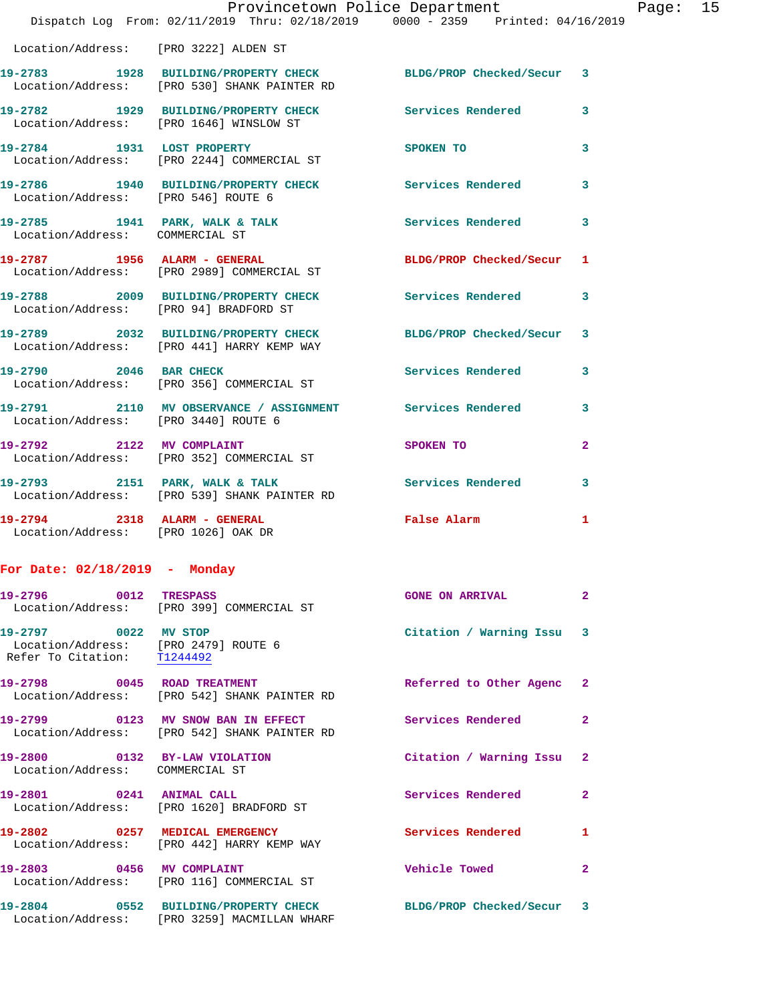|                                                                                             | Provincetown Police Department Fage: 15<br>Dispatch Log From: 02/11/2019 Thru: 02/18/2019 0000 - 2359 Printed: 04/16/2019 |                            |              |  |
|---------------------------------------------------------------------------------------------|---------------------------------------------------------------------------------------------------------------------------|----------------------------|--------------|--|
|                                                                                             | Location/Address: [PRO 3222] ALDEN ST                                                                                     |                            |              |  |
|                                                                                             | 19-2783 1928 BUILDING/PROPERTY CHECK BLDG/PROP Checked/Secur 3<br>Location/Address: [PRO 530] SHANK PAINTER RD            |                            |              |  |
|                                                                                             | 19-2782 1929 BUILDING/PROPERTY CHECK Services Rendered 3<br>Location/Address: [PRO 1646] WINSLOW ST                       |                            |              |  |
|                                                                                             | 19-2784 1931 LOST PROPERTY<br>Location/Address: [PRO 2244] COMMERCIAL ST                                                  | SPOKEN TO                  | $\mathbf{3}$ |  |
| Location/Address: [PRO 546] ROUTE 6                                                         | 19-2786 1940 BUILDING/PROPERTY CHECK Services Rendered 3                                                                  |                            |              |  |
| Location/Address: COMMERCIAL ST                                                             | 19-2785 1941 PARK, WALK & TALK 1998 Services Rendered 3                                                                   |                            |              |  |
|                                                                                             | 19-2787 1956 ALARM - GENERAL BLDG/PROP Checked/Secur <sup>1</sup><br>Location/Address: [PRO 2989] COMMERCIAL ST           |                            |              |  |
|                                                                                             | 19-2788 2009 BUILDING/PROPERTY CHECK Services Rendered 3<br>Location/Address: [PRO 94] BRADFORD ST                        |                            |              |  |
|                                                                                             | 19-2789 2032 BUILDING/PROPERTY CHECK BLDG/PROP Checked/Secur 3<br>Location/Address: [PRO 441] HARRY KEMP WAY              |                            |              |  |
|                                                                                             | 19-2790 2046 BAR CHECK<br>Location/Address: [PRO 356] COMMERCIAL ST                                                       | Services Rendered 3        |              |  |
|                                                                                             | 19-2791 2110 MV OBSERVANCE / ASSIGNMENT Services Rendered 3<br>Location/Address: [PRO 3440] ROUTE 6                       |                            |              |  |
|                                                                                             | 19-2792 2122 MV COMPLAINT<br>Location/Address: [PRO 352] COMMERCIAL ST                                                    | SPOKEN TO                  | $\mathbf{2}$ |  |
|                                                                                             | 19-2793 2151 PARK, WALK & TALK Services Rendered 3<br>Location/Address: [PRO 539] SHANK PAINTER RD                        |                            |              |  |
| Location/Address: [PRO 1026] OAK DR                                                         | 19-2794 2318 ALARM - GENERAL                                                                                              | False Alarm                | 1            |  |
| For Date: $02/18/2019$ - Monday                                                             |                                                                                                                           |                            |              |  |
| 19-2796 0012 TRESPASS                                                                       | Location/Address: [PRO 399] COMMERCIAL ST                                                                                 | <b>GONE ON ARRIVAL</b>     | $\mathbf{2}$ |  |
| 19-2797 0022 MV STOP<br>Location/Address: [PRO 2479] ROUTE 6<br>Refer To Citation: T1244492 |                                                                                                                           | Citation / Warning Issu 3  |              |  |
|                                                                                             | 19-2798 0045 ROAD TREATMENT<br>Location/Address: [PRO 542] SHANK PAINTER RD                                               | Referred to Other Agenc 2  |              |  |
|                                                                                             | 19-2799 0123 MV SNOW BAN IN EFFECT<br>Location/Address: [PRO 542] SHANK PAINTER RD                                        | Services Rendered          | $\mathbf{2}$ |  |
| Location/Address: COMMERCIAL ST                                                             | 19-2800 0132 BY-LAW VIOLATION                                                                                             | Citation / Warning Issu 2  |              |  |
|                                                                                             | 19-2801 0241 ANIMAL CALL<br>Location/Address: [PRO 1620] BRADFORD ST                                                      | Services Rendered          | $\mathbf{2}$ |  |
|                                                                                             | 19-2802 0257 MEDICAL EMERGENCY<br>Location/Address: [PRO 442] HARRY KEMP WAY                                              | Services Rendered 1        |              |  |
|                                                                                             | 19-2803 0456 MV COMPLAINT<br>Location/Address: [PRO 116] COMMERCIAL ST                                                    | <b>Vehicle Towed State</b> | $\mathbf{2}$ |  |
|                                                                                             | 19-2804 0552 BUILDING/PROPERTY CHECK BLDG/PROP Checked/Secur 3<br>Location/Address: [PRO 3259] MACMILLAN WHARF            |                            |              |  |